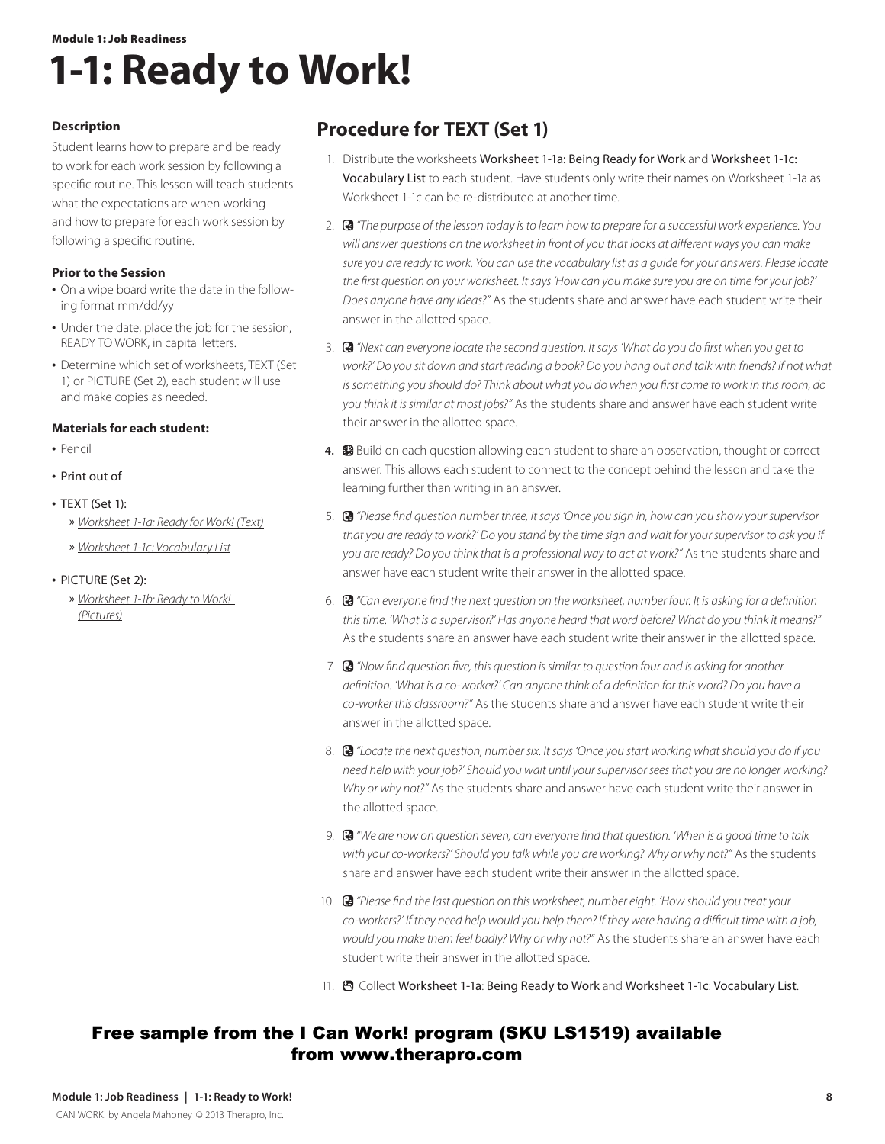## Module 1: Job Readiness **1-1: Ready to Work!**

### **Description**

Student learns how to prepare and be ready to work for each work session by following a specific routine. This lesson will teach students what the expectations are when working and how to prepare for each work session by following a specific routine.

### **Prior to the Session**

- On a wipe board write the date in the following format mm/dd/yy
- Under the date, place the job for the session, READY TO WORK, in capital letters.
- **•** Determine which set of worksheets, TEXT (Set 1) or PICTURE (Set 2), each student will use and make copies as needed.

### **Materials for each student:**

- **•**  Pencil
- **•**  Print out of
- **•**  TEXT (Set 1):
	- » *Worksheet 1-1a: Ready for Work! (Text)*
	- » *Worksheet 1-1c: Vocabulary List*
- **•**  PICTURE (Set 2):
	- » *Worksheet 1-1b: Ready to Work! (Pictures)*

## **Procedure for TEXT (Set 1)**

- 1. Distribute the worksheets Worksheet 1-1a: Being Ready for Work and Worksheet 1-1c: Vocabulary List to each student. Have students only write their names on Worksheet 1-1a as Worksheet 1-1c can be re-distributed at another time.
- 2. *"The purpose of the lesson today is to learn how to prepare for a successful work experience. You will answer questions on the worksheet in front of you that looks at different ways you can make sure you are ready to work. You can use the vocabulary list as a guide for your answers. Please locate the first question on your worksheet. It says 'How can you make sure you are on time for your job?' Does anyone have any ideas?"* As the students share and answer have each student write their answer in the allotted space.
- 3. *"Next can everyone locate the second question. It says 'What do you do first when you get to work?' Do you sit down and start reading a book? Do you hang out and talk with friends? If not what is something you should do? Think about what you do when you first come to work in this room, do you think it is similar at most jobs?"* As the students share and answer have each student write their answer in the allotted space.
- 4. **B** Build on each question allowing each student to share an observation, thought or correct answer. This allows each student to connect to the concept behind the lesson and take the learning further than writing in an answer.
- 5. *"Please find question number three, it says 'Once you sign in, how can you show your supervisor that you are ready to work?' Do you stand by the time sign and wait for your supervisor to ask you if you are ready? Do you think that is a professional way to act at work?"* As the students share and answer have each student write their answer in the allotted space.
- 6. *"Can everyone find the next question on the worksheet, number four. It is asking for a definition this time. 'What is a supervisor?' Has anyone heard that word before? What do you think it means?"* As the students share an answer have each student write their answer in the allotted space.
- 7. *"Now find question five, this question is similar to question four and is asking for another definition. 'What is a co-worker?' Can anyone think of a definition for this word? Do you have a co-worker this classroom?"* As the students share and answer have each student write their answer in the allotted space.
- 8. *"Locate the next question, number six. It says 'Once you start working what should you do if you need help with your job?' Should you wait until your supervisor sees that you are no longer working? Why or why not?"* As the students share and answer have each student write their answer in the allotted space.
- 9. *"We are now on question seven, can everyone find that question. 'When is a good time to talk with your co-workers?' Should you talk while you are working? Why or why not?"* As the students share and answer have each student write their answer in the allotted space.
- 10. *"Please find the last question on this worksheet, number eight. 'How should you treat your co-workers?' If they need help would you help them? If they were having a difficult time with a job, would you make them feel badly? Why or why not?"* As the students share an answer have each student write their answer in the allotted space.
- 11. <sup>8</sup> Collect Worksheet 1-1a: Being Ready to Work and Worksheet 1-1c: Vocabulary List.

## Free sample from the I Can Work! program (SKU LS1519) available from www.therapro.com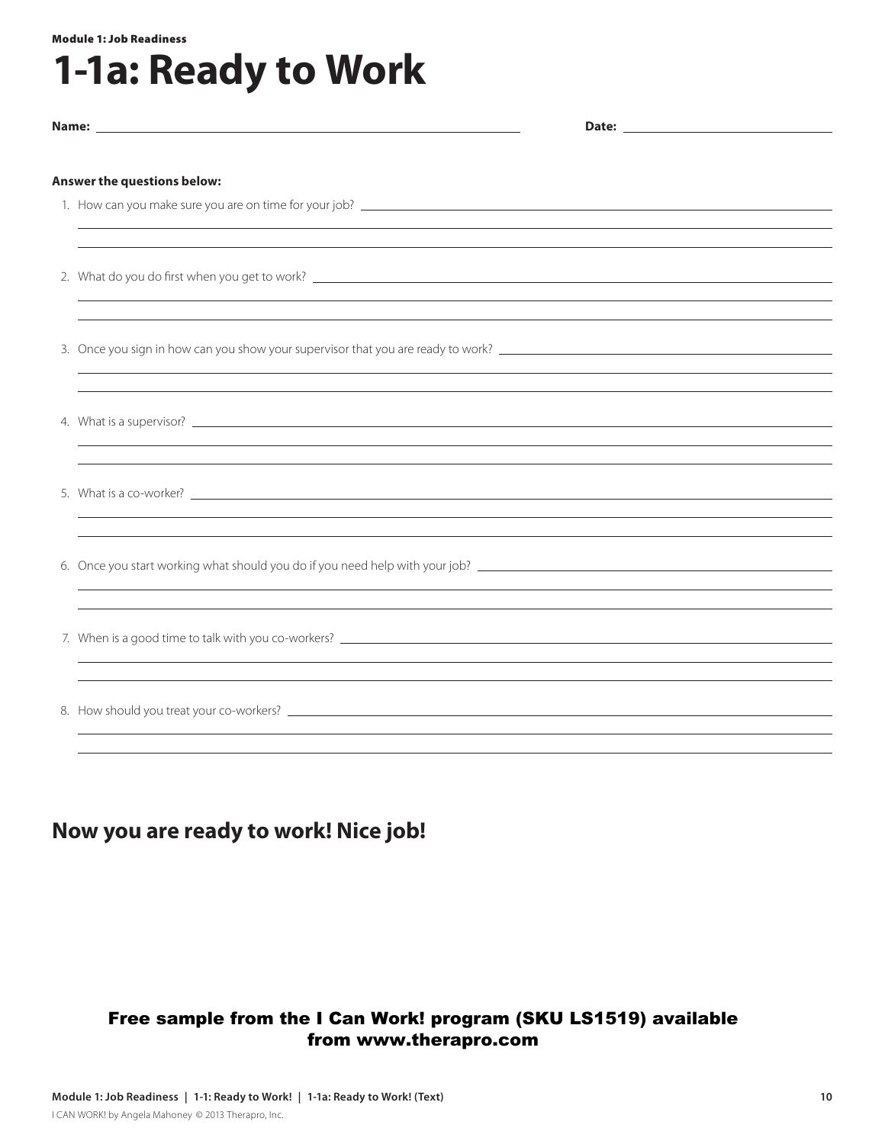#### Module 1: Job Readiness

# **1-1a: Ready to Work**

| Answer the questions below:                                                                                                                                                                                                                                                                                              |  |  |
|--------------------------------------------------------------------------------------------------------------------------------------------------------------------------------------------------------------------------------------------------------------------------------------------------------------------------|--|--|
|                                                                                                                                                                                                                                                                                                                          |  |  |
|                                                                                                                                                                                                                                                                                                                          |  |  |
|                                                                                                                                                                                                                                                                                                                          |  |  |
| ,我们也不会有什么。""我们的人,我们也不会有什么?""我们的人,我们也不会有什么?""我们的人,我们也不会有什么?""我们的人,我们也不会有什么?""我们的人                                                                                                                                                                                                                                         |  |  |
|                                                                                                                                                                                                                                                                                                                          |  |  |
|                                                                                                                                                                                                                                                                                                                          |  |  |
| ,我们也不会有什么。""我们的人,我们也不会有什么?""我们的人,我们也不会有什么?""我们的人,我们也不会有什么?""我们的人,我们也不会有什么?""我们的人                                                                                                                                                                                                                                         |  |  |
|                                                                                                                                                                                                                                                                                                                          |  |  |
| ,我们也不会有什么。""我们的人,我们也不会有什么?""我们的人,我们也不会有什么?""我们的人,我们也不会有什么?""我们的人,我们也不会有什么?""我们的人                                                                                                                                                                                                                                         |  |  |
| ,我们也不会有什么。""我们的人,我们也不会有什么?""我们的人,我们也不会有什么?""我们的人,我们也不会有什么?""我们的人,我们也不会有什么?""我们的人                                                                                                                                                                                                                                         |  |  |
| ,我们也不会有什么。""我们的人,我们也不会有什么?""我们的人,我们也不会有什么?""我们的人,我们也不会有什么?""我们的人,我们也不会有什么?""我们的人                                                                                                                                                                                                                                         |  |  |
|                                                                                                                                                                                                                                                                                                                          |  |  |
| ,我们也不会有什么。""我们的人,我们也不会有什么?""我们的人,我们也不会有什么?""我们的人,我们也不会有什么?""我们的人,我们也不会有什么?""我们的人<br>7. When is a good time to talk with you co-workers? <u>The announcement of the contract of the contract of the contract of the contract of the contract of the contract of the contract of the contract of the contract of the c</u> |  |  |
|                                                                                                                                                                                                                                                                                                                          |  |  |
| ,我们也不会有什么。""我们的人,我们也不会有什么?""我们的人,我们也不会有什么?""我们的人,我们也不会有什么?""我们的人,我们也不会有什么?""我们的人                                                                                                                                                                                                                                         |  |  |
|                                                                                                                                                                                                                                                                                                                          |  |  |
|                                                                                                                                                                                                                                                                                                                          |  |  |
|                                                                                                                                                                                                                                                                                                                          |  |  |

## **Now you are ready to work! Nice job!**

## Free sample from the I Can Work! program (SKU LS1519) available from www.therapro.com